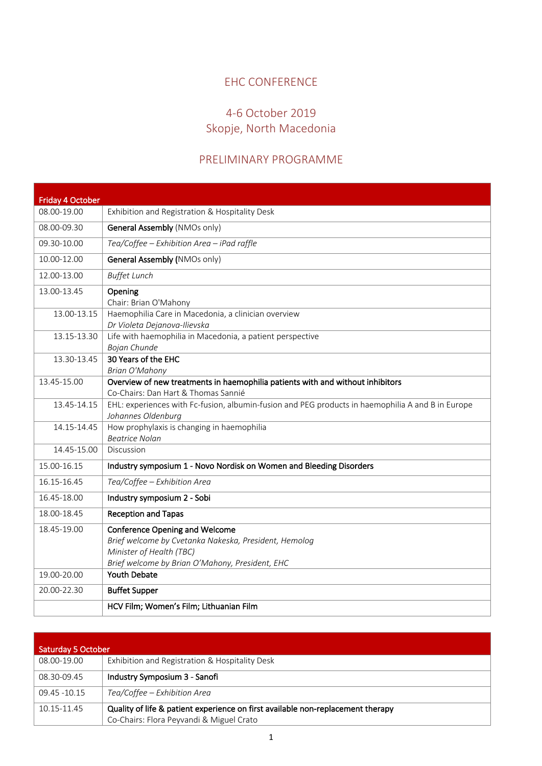## EHC CONFERENCE

## 4-6 October 2019 Skopje, North Macedonia

## PRELIMINARY PROGRAMME

| <b>Friday 4 October</b><br>08.00-19.00 | Exhibition and Registration & Hospitality Desk                                                                                                                                |
|----------------------------------------|-------------------------------------------------------------------------------------------------------------------------------------------------------------------------------|
|                                        |                                                                                                                                                                               |
| 08.00-09.30                            | General Assembly (NMOs only)                                                                                                                                                  |
| 09.30-10.00                            | Tea/Coffee - Exhibition Area - iPad raffle                                                                                                                                    |
| 10.00-12.00                            | General Assembly (NMOs only)                                                                                                                                                  |
| 12.00-13.00                            | <b>Buffet Lunch</b>                                                                                                                                                           |
| 13.00-13.45                            | Opening<br>Chair: Brian O'Mahony                                                                                                                                              |
| 13.00-13.15                            | Haemophilia Care in Macedonia, a clinician overview<br>Dr Violeta Dejanova-Ilievska                                                                                           |
| 13.15-13.30                            | Life with haemophilia in Macedonia, a patient perspective<br>Bojan Chunde                                                                                                     |
| 13.30-13.45                            | 30 Years of the EHC<br><b>Brian O'Mahony</b>                                                                                                                                  |
| 13.45-15.00                            | Overview of new treatments in haemophilia patients with and without inhibitors<br>Co-Chairs: Dan Hart & Thomas Sannié                                                         |
| 13.45-14.15                            | EHL: experiences with Fc-fusion, albumin-fusion and PEG products in haemophilia A and B in Europe<br>Johannes Oldenburg                                                       |
| 14.15-14.45                            | How prophylaxis is changing in haemophilia<br><b>Beatrice Nolan</b>                                                                                                           |
| 14.45-15.00                            | Discussion                                                                                                                                                                    |
| 15.00-16.15                            | Industry symposium 1 - Novo Nordisk on Women and Bleeding Disorders                                                                                                           |
| 16.15-16.45                            | Tea/Coffee - Exhibition Area                                                                                                                                                  |
| 16.45-18.00                            | Industry symposium 2 - Sobi                                                                                                                                                   |
| 18.00-18.45                            | <b>Reception and Tapas</b>                                                                                                                                                    |
| 18.45-19.00                            | <b>Conference Opening and Welcome</b><br>Brief welcome by Cvetanka Nakeska, President, Hemolog<br>Minister of Health (TBC)<br>Brief welcome by Brian O'Mahony, President, EHC |
| 19.00-20.00                            | Youth Debate                                                                                                                                                                  |
| 20.00-22.30                            | <b>Buffet Supper</b>                                                                                                                                                          |
|                                        | HCV Film; Women's Film; Lithuanian Film                                                                                                                                       |

| <b>Saturday 5 October</b> |                                                                                 |  |
|---------------------------|---------------------------------------------------------------------------------|--|
| 08.00-19.00               | Exhibition and Registration & Hospitality Desk                                  |  |
| 08.30-09.45               | Industry Symposium 3 - Sanofi                                                   |  |
| 09.45 - 10.15             | Tea/Coffee – Exhibition Area                                                    |  |
| 10.15-11.45               | Quality of life & patient experience on first available non-replacement therapy |  |
|                           | Co-Chairs: Flora Peyvandi & Miguel Crato                                        |  |